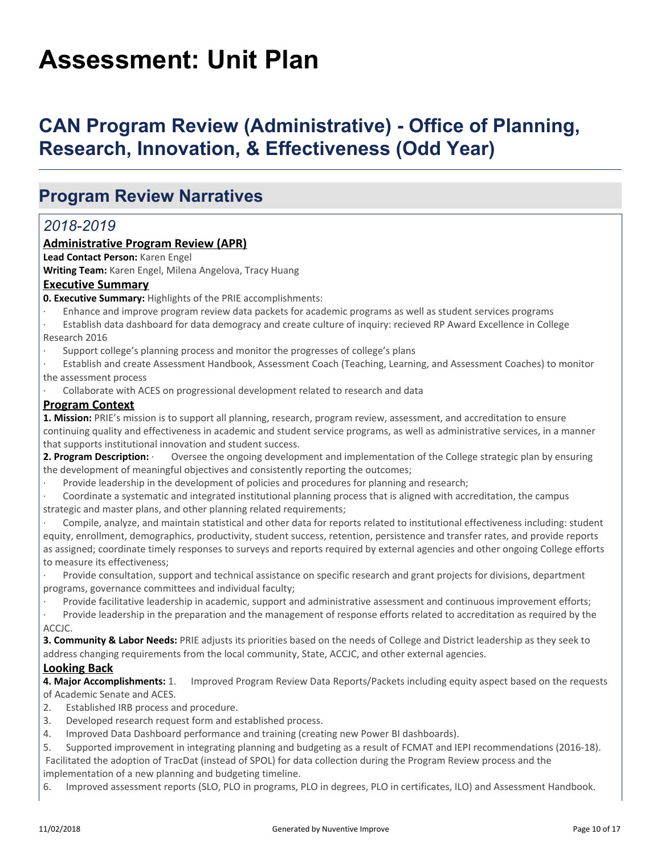# **Assessment: Unit Plan**

# **CAN Program Review (Administrative) - Office of Planning, Research, Innovation, & Effectiveness (Odd Year)**

### **Program Review Narratives**

### *2018-2019*

#### **Administrative Program Review (APR)**

**Lead Contact Person:** Karen Engel

**Writing Team:** Karen Engel, Milena Angelova, Tracy Huang

#### **Executive Summary**

**0. Executive Summary:** Highlights of the PRIE accomplishments:

- · Enhance and improve program review data packets for academic programs as well as student services programs
- · Establish data dashboard for data demogracy and create culture of inquiry: recieved RP Award Excellence in College Research 2016
- · Support college's planning process and monitor the progresses of college's plans

Establish and create Assessment Handbook, Assessment Coach (Teaching, Learning, and Assessment Coaches) to monitor the assessment process

Collaborate with ACES on progressional development related to research and data

#### **Program Context**

**1. Mission:** PRIE's mission is to support all planning, research, program review, assessment, and accreditation to ensure continuing quality and effectiveness in academic and student service programs, as well as administrative services, in a manner that supports institutional innovation and student success.

2. Program Description: **·** Oversee the ongoing development and implementation of the College strategic plan by ensuring the development of meaningful objectives and consistently reporting the outcomes;

Provide leadership in the development of policies and procedures for planning and research;

· Coordinate a systematic and integrated institutional planning process that is aligned with accreditation, the campus strategic and master plans, and other planning related requirements;

· Compile, analyze, and maintain statistical and other data for reports related to institutional effectiveness including: student equity, enrollment, demographics, productivity, student success, retention, persistence and transfer rates, and provide reports as assigned; coordinate timely responses to surveys and reports required by external agencies and other ongoing College efforts to measure its effectiveness;

Provide consultation, support and technical assistance on specific research and grant projects for divisions, department programs, governance committees and individual faculty;

Provide facilitative leadership in academic, support and administrative assessment and continuous improvement efforts;

· Provide leadership in the preparation and the management of response efforts related to accreditation as required by the ACCJC.

**3. Community & Labor Needs:** PRIE adjusts its priorities based on the needs of College and District leadership as they seek to address changing requirements from the local community, State, ACCJC, and other external agencies.

#### **Looking Back**

**4. Major Accomplishments:** 1. Improved Program Review Data Reports/Packets including equity aspect based on the requests of Academic Senate and ACES.

- 2. Established IRB process and procedure.
- 3. Developed research request form and established process.
- 4. Improved Data Dashboard performance and training (creating new Power BI dashboards).
- 5. Supported improvement in integrating planning and budgeting as a result of FCMAT and IEPI recommendations (2016-18).

 Facilitated the adoption of TracDat (instead of SPOL) for data collection during the Program Review process and the implementation of a new planning and budgeting timeline.

6. Improved assessment reports (SLO, PLO in programs, PLO in degrees, PLO in certificates, ILO) and Assessment Handbook.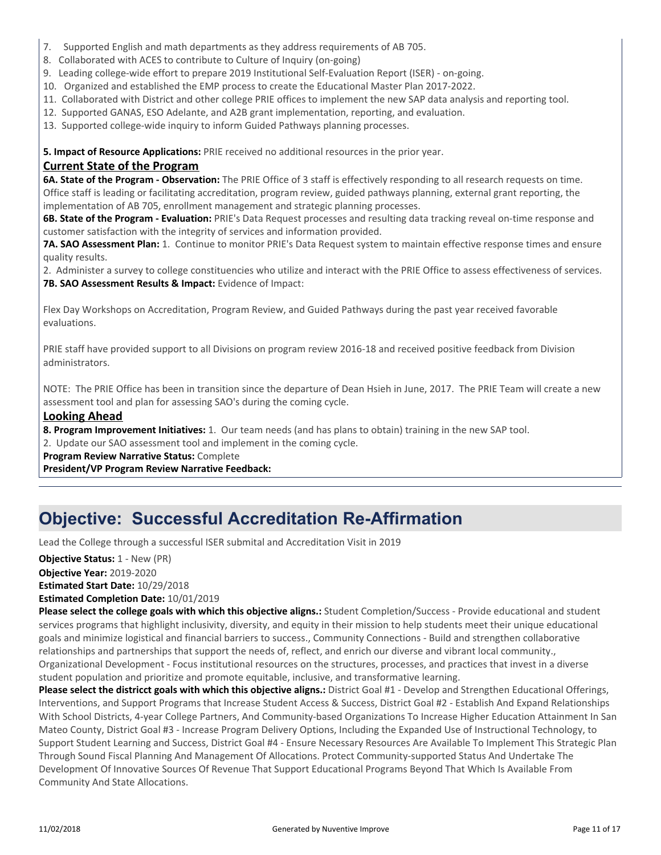- 7. Supported English and math departments as they address requirements of AB 705.
- 8. Collaborated with ACES to contribute to Culture of Inquiry (on-going)
- 9. Leading college-wide effort to prepare 2019 Institutional Self-Evaluation Report (ISER) on-going.
- 10. Organized and established the EMP process to create the Educational Master Plan 2017-2022.
- 11. Collaborated with District and other college PRIE offices to implement the new SAP data analysis and reporting tool.
- 12. Supported GANAS, ESO Adelante, and A2B grant implementation, reporting, and evaluation.
- 13. Supported college-wide inquiry to inform Guided Pathways planning processes.

**5. Impact of Resource Applications:** PRIE received no additional resources in the prior year.

#### **Current State of the Program**

**6A. State of the Program - Observation:** The PRIE Office of 3 staff is effectively responding to all research requests on time. Office staff is leading or facilitating accreditation, program review, guided pathways planning, external grant reporting, the implementation of AB 705, enrollment management and strategic planning processes.

**6B. State of the Program - Evaluation:** PRIE's Data Request processes and resulting data tracking reveal on-time response and customer satisfaction with the integrity of services and information provided.

**7A. SAO Assessment Plan:** 1. Continue to monitor PRIE's Data Request system to maintain effective response times and ensure quality results.

2. Administer a survey to college constituencies who utilize and interact with the PRIE Office to assess effectiveness of services. **7B. SAO Assessment Results & Impact:** Evidence of Impact:

Flex Day Workshops on Accreditation, Program Review, and Guided Pathways during the past year received favorable evaluations.

PRIE staff have provided support to all Divisions on program review 2016-18 and received positive feedback from Division administrators.

NOTE: The PRIE Office has been in transition since the departure of Dean Hsieh in June, 2017. The PRIE Team will create a new assessment tool and plan for assessing SAO's during the coming cycle.

#### **Looking Ahead**

**8. Program Improvement Initiatives:** 1. Our team needs (and has plans to obtain) training in the new SAP tool.

2. Update our SAO assessment tool and implement in the coming cycle.

**Program Review Narrative Status:** Complete

**President/VP Program Review Narrative Feedback:**

### **Objective: Successful Accreditation Re-Affirmation**

Lead the College through a successful ISER submital and Accreditation Visit in 2019

**Objective Year:** 2019-2020 **Estimated Start Date:** 10/29/2018 **Estimated Completion Date:** 10/01/2019 **Objective Status:** 1 - New (PR)

**Please select the college goals with which this objective aligns.:** Student Completion/Success - Provide educational and student services programs that highlight inclusivity, diversity, and equity in their mission to help students meet their unique educational goals and minimize logistical and financial barriers to success., Community Connections - Build and strengthen collaborative relationships and partnerships that support the needs of, reflect, and enrich our diverse and vibrant local community., Organizational Development - Focus institutional resources on the structures, processes, and practices that invest in a diverse student population and prioritize and promote equitable, inclusive, and transformative learning.

**Please select the districct goals with which this objective aligns.:** District Goal #1 - Develop and Strengthen Educational Offerings, Interventions, and Support Programs that Increase Student Access & Success, District Goal #2 - Establish And Expand Relationships With School Districts, 4-year College Partners, And Community-based Organizations To Increase Higher Education Attainment In San Mateo County, District Goal #3 - Increase Program Delivery Options, Including the Expanded Use of Instructional Technology, to Support Student Learning and Success, District Goal #4 - Ensure Necessary Resources Are Available To Implement This Strategic Plan Through Sound Fiscal Planning And Management Of Allocations. Protect Community-supported Status And Undertake The Development Of Innovative Sources Of Revenue That Support Educational Programs Beyond That Which Is Available From Community And State Allocations.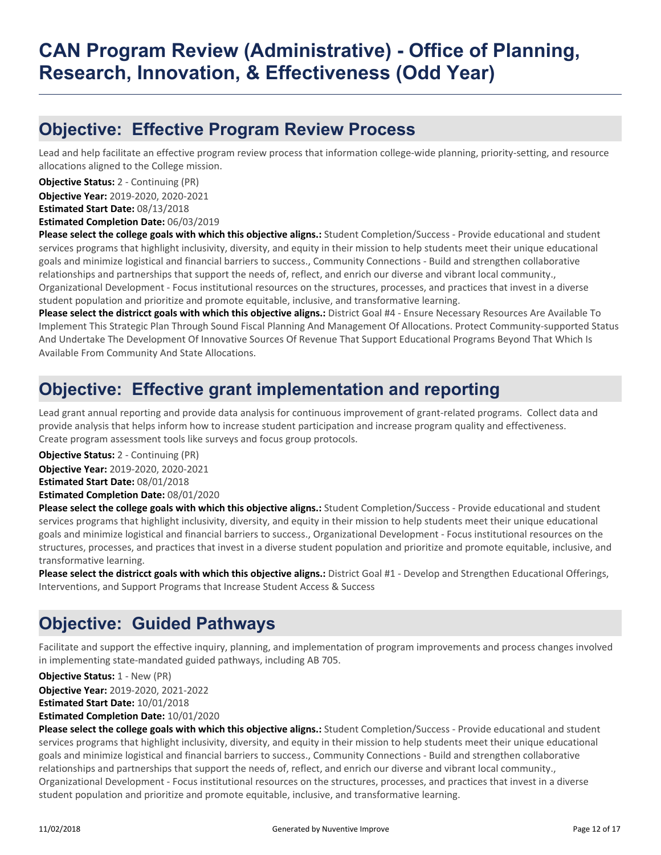### **Objective: Effective Program Review Process**

Lead and help facilitate an effective program review process that information college-wide planning, priority-setting, and resource allocations aligned to the College mission.

**Objective Year:** 2019-2020, 2020-2021 **Estimated Start Date:** 08/13/2018 **Objective Status:** 2 - Continuing (PR)

**Estimated Completion Date:** 06/03/2019

**Please select the college goals with which this objective aligns.:** Student Completion/Success - Provide educational and student services programs that highlight inclusivity, diversity, and equity in their mission to help students meet their unique educational goals and minimize logistical and financial barriers to success., Community Connections - Build and strengthen collaborative relationships and partnerships that support the needs of, reflect, and enrich our diverse and vibrant local community., Organizational Development - Focus institutional resources on the structures, processes, and practices that invest in a diverse student population and prioritize and promote equitable, inclusive, and transformative learning.

**Please select the districct goals with which this objective aligns.:** District Goal #4 - Ensure Necessary Resources Are Available To Implement This Strategic Plan Through Sound Fiscal Planning And Management Of Allocations. Protect Community-supported Status And Undertake The Development Of Innovative Sources Of Revenue That Support Educational Programs Beyond That Which Is Available From Community And State Allocations.

### **Objective: Effective grant implementation and reporting**

Lead grant annual reporting and provide data analysis for continuous improvement of grant-related programs. Collect data and provide analysis that helps inform how to increase student participation and increase program quality and effectiveness. Create program assessment tools like surveys and focus group protocols.

**Objective Status:** 2 - Continuing (PR)

**Objective Year:** 2019-2020, 2020-2021

**Estimated Start Date:** 08/01/2018

**Estimated Completion Date:** 08/01/2020

**Please select the college goals with which this objective aligns.:** Student Completion/Success - Provide educational and student services programs that highlight inclusivity, diversity, and equity in their mission to help students meet their unique educational goals and minimize logistical and financial barriers to success., Organizational Development - Focus institutional resources on the structures, processes, and practices that invest in a diverse student population and prioritize and promote equitable, inclusive, and transformative learning.

**Please select the districct goals with which this objective aligns.:** District Goal #1 - Develop and Strengthen Educational Offerings, Interventions, and Support Programs that Increase Student Access & Success

### **Objective: Guided Pathways**

Facilitate and support the effective inquiry, planning, and implementation of program improvements and process changes involved in implementing state-mandated guided pathways, including AB 705.

**Objective Year:** 2019-2020, 2021-2022 **Estimated Start Date:** 10/01/2018 **Estimated Completion Date:** 10/01/2020 **Objective Status:** 1 - New (PR)

**Please select the college goals with which this objective aligns.:** Student Completion/Success - Provide educational and student services programs that highlight inclusivity, diversity, and equity in their mission to help students meet their unique educational goals and minimize logistical and financial barriers to success., Community Connections - Build and strengthen collaborative relationships and partnerships that support the needs of, reflect, and enrich our diverse and vibrant local community., Organizational Development - Focus institutional resources on the structures, processes, and practices that invest in a diverse student population and prioritize and promote equitable, inclusive, and transformative learning.